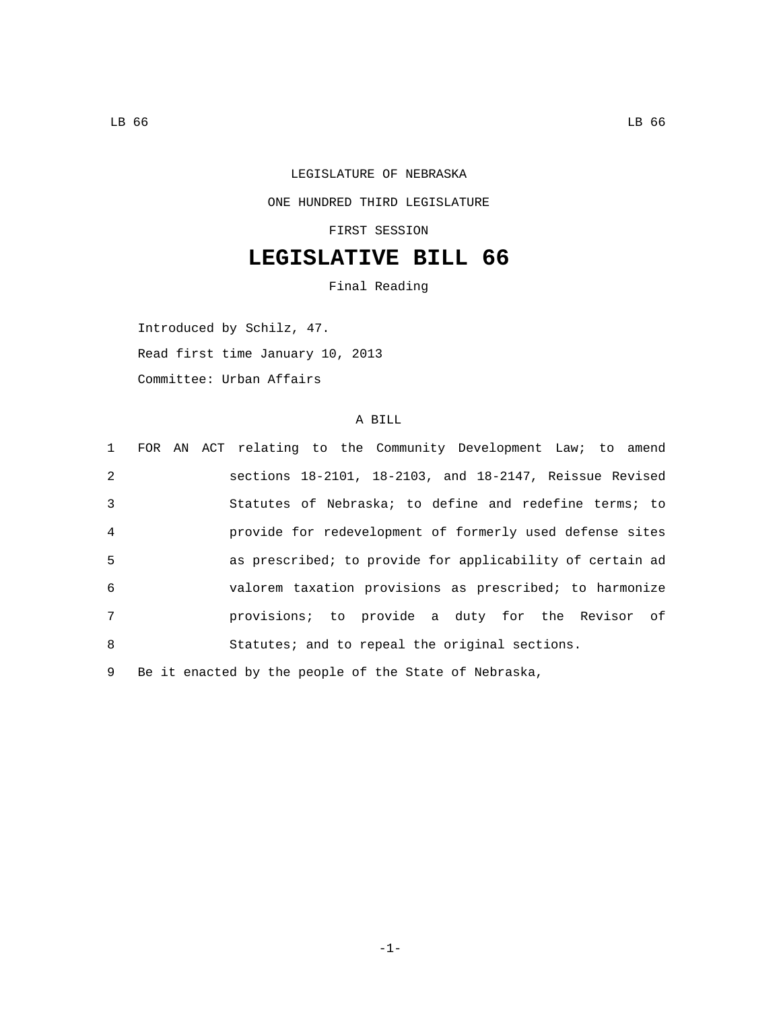## LEGISLATURE OF NEBRASKA ONE HUNDRED THIRD LEGISLATURE FIRST SESSION

## **LEGISLATIVE BILL 66**

Final Reading

Introduced by Schilz, 47. Read first time January 10, 2013 Committee: Urban Affairs

## A BILL

|                |  | 1 FOR AN ACT relating to the Community Development Law; to amend |
|----------------|--|------------------------------------------------------------------|
| 2              |  | sections $18-2101$ , $18-2103$ , and $18-2147$ , Reissue Revised |
| 3              |  | Statutes of Nebraska; to define and redefine terms; to           |
| $\overline{4}$ |  | provide for redevelopment of formerly used defense sites         |
| 5              |  | as prescribed; to provide for applicability of certain ad        |
| 6              |  | valorem taxation provisions as prescribed; to harmonize          |
| 7              |  | provisions; to provide a duty for the Revisor of                 |
| 8              |  | Statutes; and to repeal the original sections.                   |
|                |  |                                                                  |

9 Be it enacted by the people of the State of Nebraska,

-1-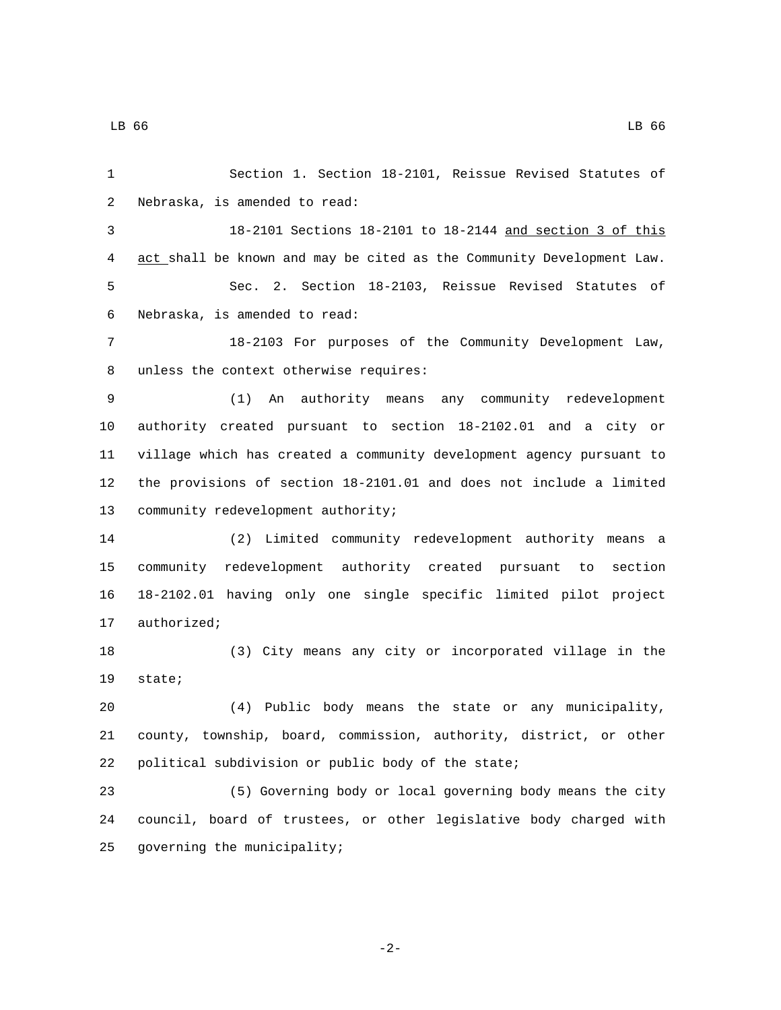Section 1. Section 18-2101, Reissue Revised Statutes of 2 Nebraska, is amended to read: 18-2101 Sections 18-2101 to 18-2144 and section 3 of this act shall be known and may be cited as the Community Development Law. Sec. 2. Section 18-2103, Reissue Revised Statutes of 6 Nebraska, is amended to read: 18-2103 For purposes of the Community Development Law, 8 unless the context otherwise requires: (1) An authority means any community redevelopment authority created pursuant to section 18-2102.01 and a city or village which has created a community development agency pursuant to the provisions of section 18-2101.01 and does not include a limited 13 community redevelopment authority; (2) Limited community redevelopment authority means a community redevelopment authority created pursuant to section 18-2102.01 having only one single specific limited pilot project 17 authorized; (3) City means any city or incorporated village in the 19 state; (4) Public body means the state or any municipality, county, township, board, commission, authority, district, or other political subdivision or public body of the state; (5) Governing body or local governing body means the city council, board of trustees, or other legislative body charged with

25 governing the municipality;

-2-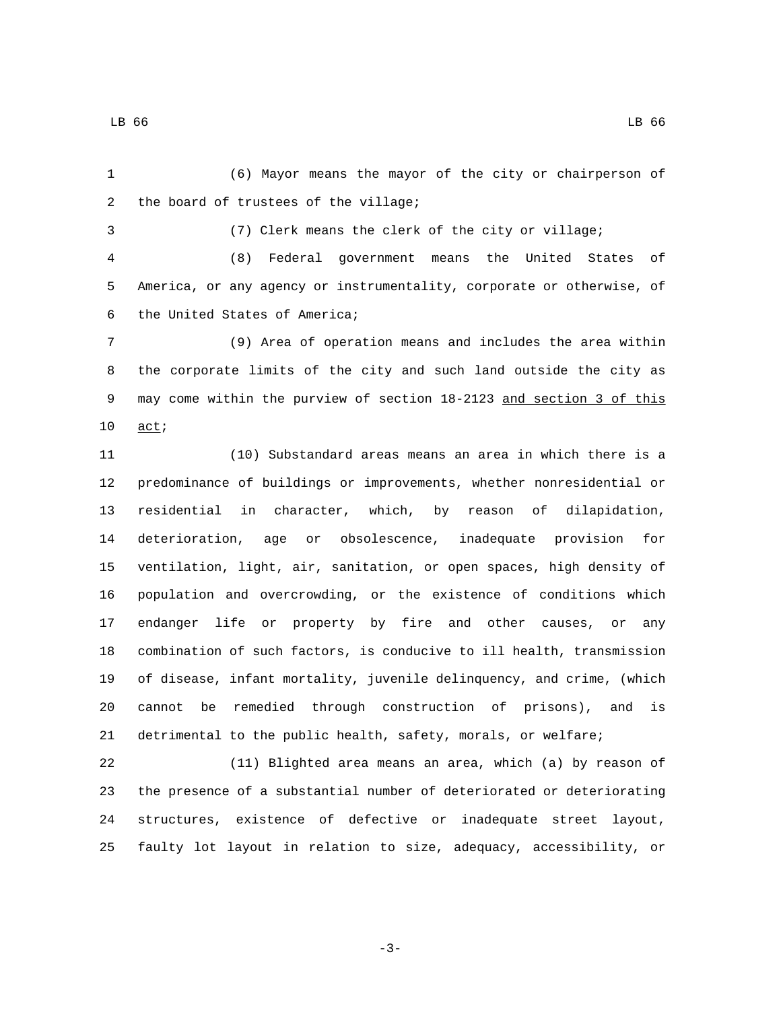LB 66 LB 66 LB 66 LB 66 LB 66 LB 66 LB 66 LB 66 LB 66 LB 66 LB 66 LB 66 LB 66 LB 66 LB 66

 (6) Mayor means the mayor of the city or chairperson of 2 the board of trustees of the village;

(7) Clerk means the clerk of the city or village;

 (8) Federal government means the United States of America, or any agency or instrumentality, corporate or otherwise, of 6 the United States of America;

 (9) Area of operation means and includes the area within the corporate limits of the city and such land outside the city as may come within the purview of section 18-2123 and section 3 of this 10 act;

 (10) Substandard areas means an area in which there is a predominance of buildings or improvements, whether nonresidential or residential in character, which, by reason of dilapidation, deterioration, age or obsolescence, inadequate provision for ventilation, light, air, sanitation, or open spaces, high density of population and overcrowding, or the existence of conditions which endanger life or property by fire and other causes, or any combination of such factors, is conducive to ill health, transmission of disease, infant mortality, juvenile delinquency, and crime, (which cannot be remedied through construction of prisons), and is detrimental to the public health, safety, morals, or welfare;

 (11) Blighted area means an area, which (a) by reason of the presence of a substantial number of deteriorated or deteriorating structures, existence of defective or inadequate street layout, faulty lot layout in relation to size, adequacy, accessibility, or

-3-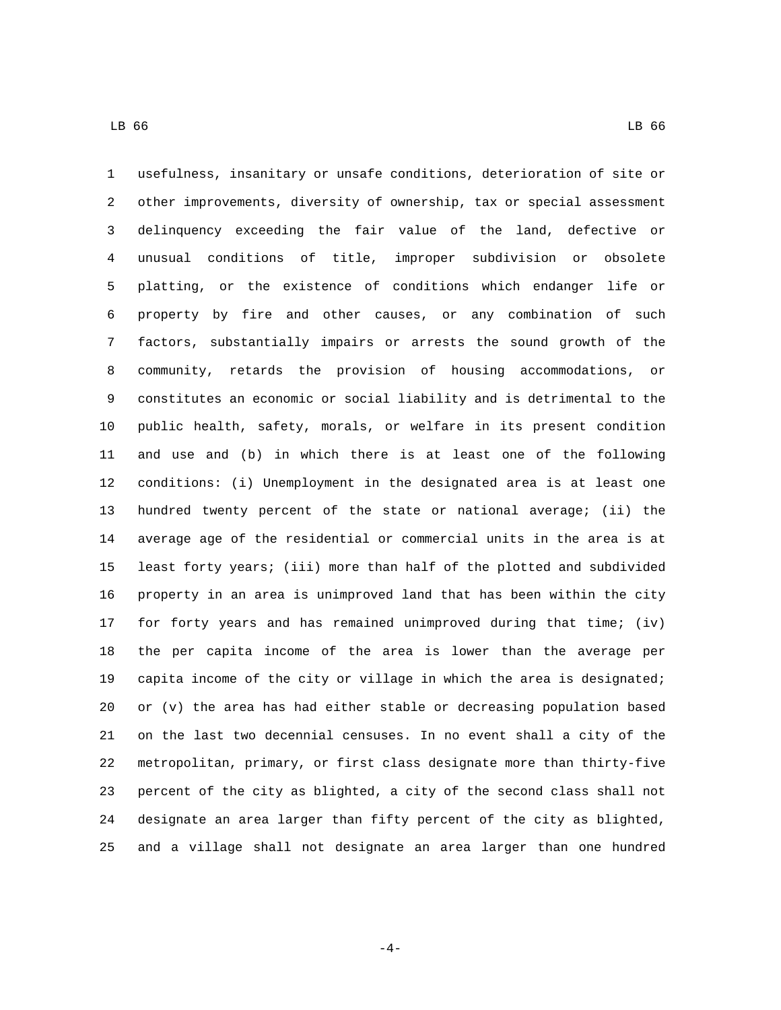usefulness, insanitary or unsafe conditions, deterioration of site or other improvements, diversity of ownership, tax or special assessment delinquency exceeding the fair value of the land, defective or unusual conditions of title, improper subdivision or obsolete platting, or the existence of conditions which endanger life or property by fire and other causes, or any combination of such factors, substantially impairs or arrests the sound growth of the community, retards the provision of housing accommodations, or constitutes an economic or social liability and is detrimental to the public health, safety, morals, or welfare in its present condition and use and (b) in which there is at least one of the following conditions: (i) Unemployment in the designated area is at least one hundred twenty percent of the state or national average; (ii) the average age of the residential or commercial units in the area is at least forty years; (iii) more than half of the plotted and subdivided property in an area is unimproved land that has been within the city

 for forty years and has remained unimproved during that time; (iv) the per capita income of the area is lower than the average per capita income of the city or village in which the area is designated; or (v) the area has had either stable or decreasing population based on the last two decennial censuses. In no event shall a city of the metropolitan, primary, or first class designate more than thirty-five percent of the city as blighted, a city of the second class shall not designate an area larger than fifty percent of the city as blighted, and a village shall not designate an area larger than one hundred

-4-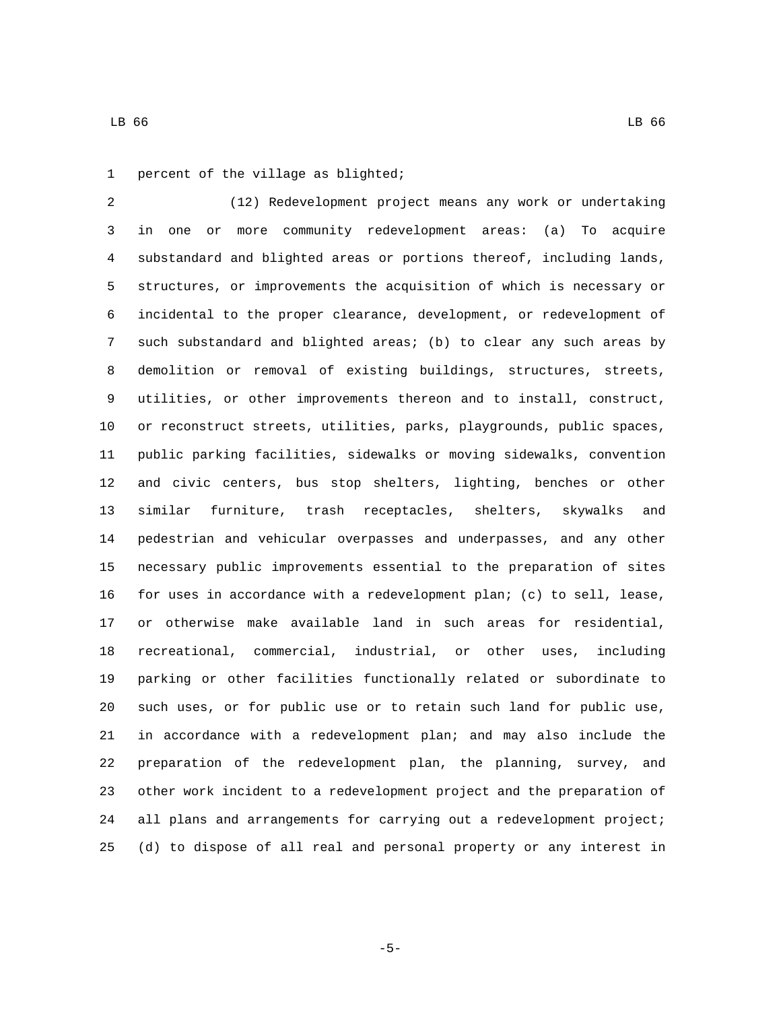LB 66 LB 66 LB 66 LB 66 LB 66 LB 66 LB 66 LB 66 LB 66 LB 66 LB 66 LB 66 LB 66 LB 66 LB 66

1 percent of the village as blighted;

 (12) Redevelopment project means any work or undertaking in one or more community redevelopment areas: (a) To acquire substandard and blighted areas or portions thereof, including lands, structures, or improvements the acquisition of which is necessary or incidental to the proper clearance, development, or redevelopment of such substandard and blighted areas; (b) to clear any such areas by demolition or removal of existing buildings, structures, streets, utilities, or other improvements thereon and to install, construct, or reconstruct streets, utilities, parks, playgrounds, public spaces, public parking facilities, sidewalks or moving sidewalks, convention and civic centers, bus stop shelters, lighting, benches or other similar furniture, trash receptacles, shelters, skywalks and pedestrian and vehicular overpasses and underpasses, and any other necessary public improvements essential to the preparation of sites for uses in accordance with a redevelopment plan; (c) to sell, lease, or otherwise make available land in such areas for residential, recreational, commercial, industrial, or other uses, including parking or other facilities functionally related or subordinate to such uses, or for public use or to retain such land for public use, in accordance with a redevelopment plan; and may also include the preparation of the redevelopment plan, the planning, survey, and other work incident to a redevelopment project and the preparation of all plans and arrangements for carrying out a redevelopment project; (d) to dispose of all real and personal property or any interest in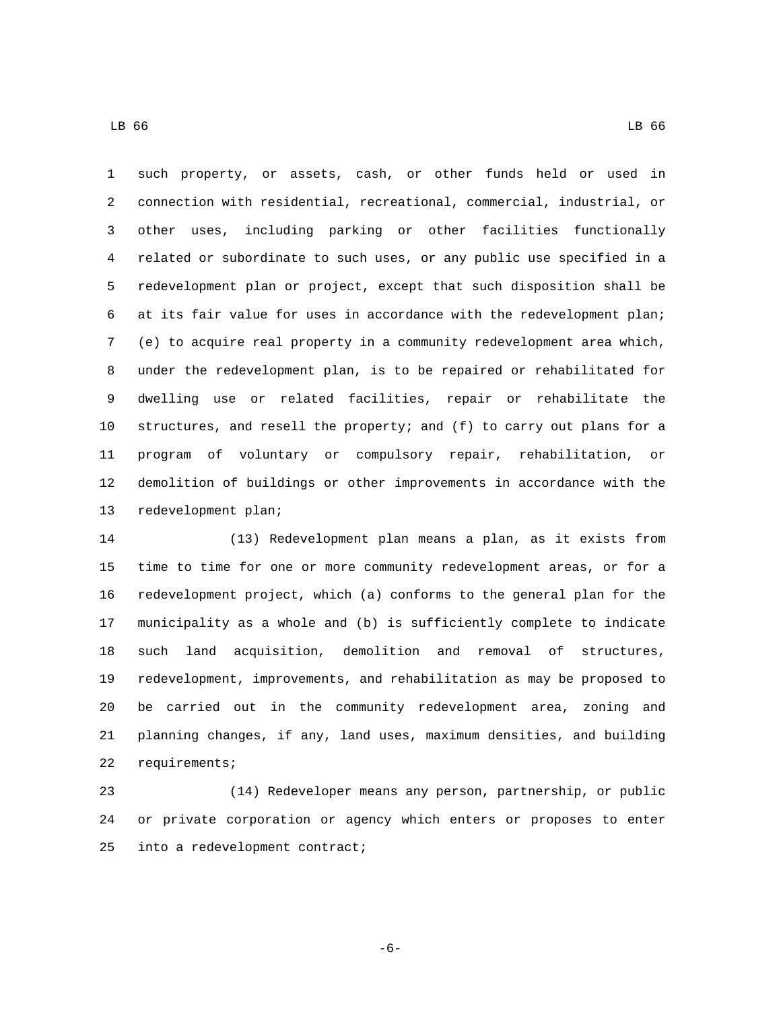such property, or assets, cash, or other funds held or used in connection with residential, recreational, commercial, industrial, or other uses, including parking or other facilities functionally related or subordinate to such uses, or any public use specified in a redevelopment plan or project, except that such disposition shall be at its fair value for uses in accordance with the redevelopment plan; (e) to acquire real property in a community redevelopment area which, under the redevelopment plan, is to be repaired or rehabilitated for dwelling use or related facilities, repair or rehabilitate the structures, and resell the property; and (f) to carry out plans for a program of voluntary or compulsory repair, rehabilitation, or demolition of buildings or other improvements in accordance with the 13 redevelopment plan;

 (13) Redevelopment plan means a plan, as it exists from time to time for one or more community redevelopment areas, or for a redevelopment project, which (a) conforms to the general plan for the municipality as a whole and (b) is sufficiently complete to indicate such land acquisition, demolition and removal of structures, redevelopment, improvements, and rehabilitation as may be proposed to be carried out in the community redevelopment area, zoning and planning changes, if any, land uses, maximum densities, and building 22 requirements;

 (14) Redeveloper means any person, partnership, or public or private corporation or agency which enters or proposes to enter 25 into a redevelopment contract;

-6-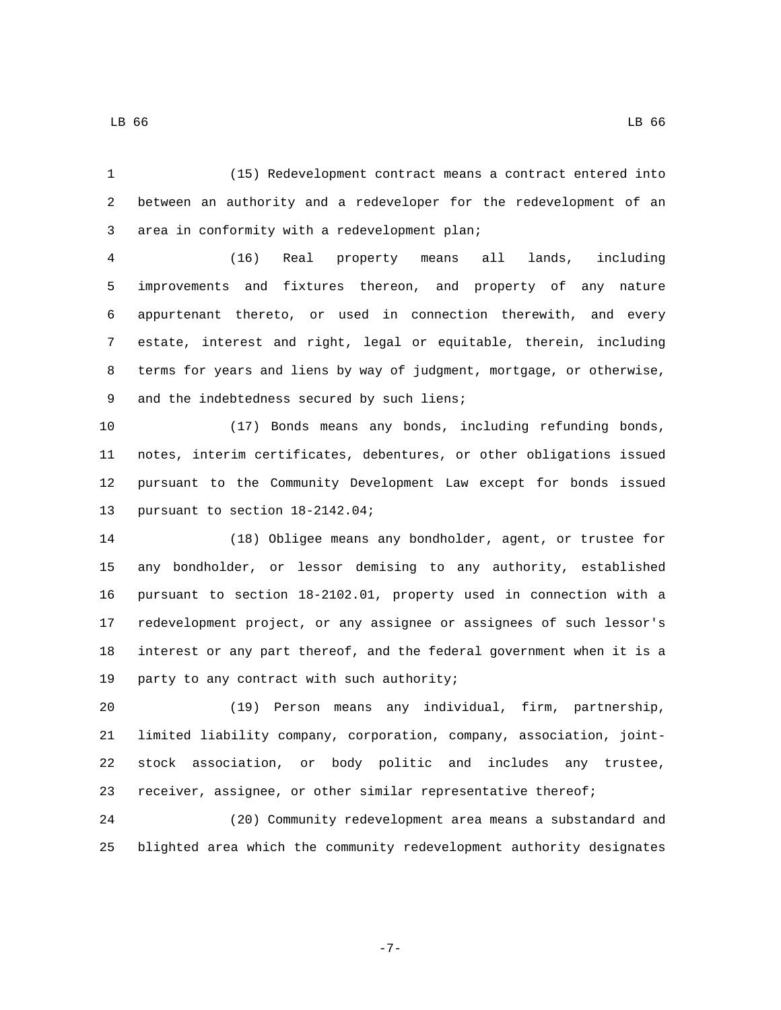(15) Redevelopment contract means a contract entered into between an authority and a redeveloper for the redevelopment of an 3 area in conformity with a redevelopment plan;

 (16) Real property means all lands, including improvements and fixtures thereon, and property of any nature appurtenant thereto, or used in connection therewith, and every estate, interest and right, legal or equitable, therein, including terms for years and liens by way of judgment, mortgage, or otherwise, 9 and the indebtedness secured by such liens;

 (17) Bonds means any bonds, including refunding bonds, notes, interim certificates, debentures, or other obligations issued pursuant to the Community Development Law except for bonds issued 13 pursuant to section 18-2142.04;

 (18) Obligee means any bondholder, agent, or trustee for any bondholder, or lessor demising to any authority, established pursuant to section 18-2102.01, property used in connection with a redevelopment project, or any assignee or assignees of such lessor's interest or any part thereof, and the federal government when it is a 19 party to any contract with such authority;

 (19) Person means any individual, firm, partnership, limited liability company, corporation, company, association, joint- stock association, or body politic and includes any trustee, receiver, assignee, or other similar representative thereof;

 (20) Community redevelopment area means a substandard and blighted area which the community redevelopment authority designates

LB 66 LB 66 LB 66 LB 66 LB 66 LB 66 LB 66 LB 66 LB 66 LB 66 LB 66 LB 66 LB 66 LB 66 LB 66

-7-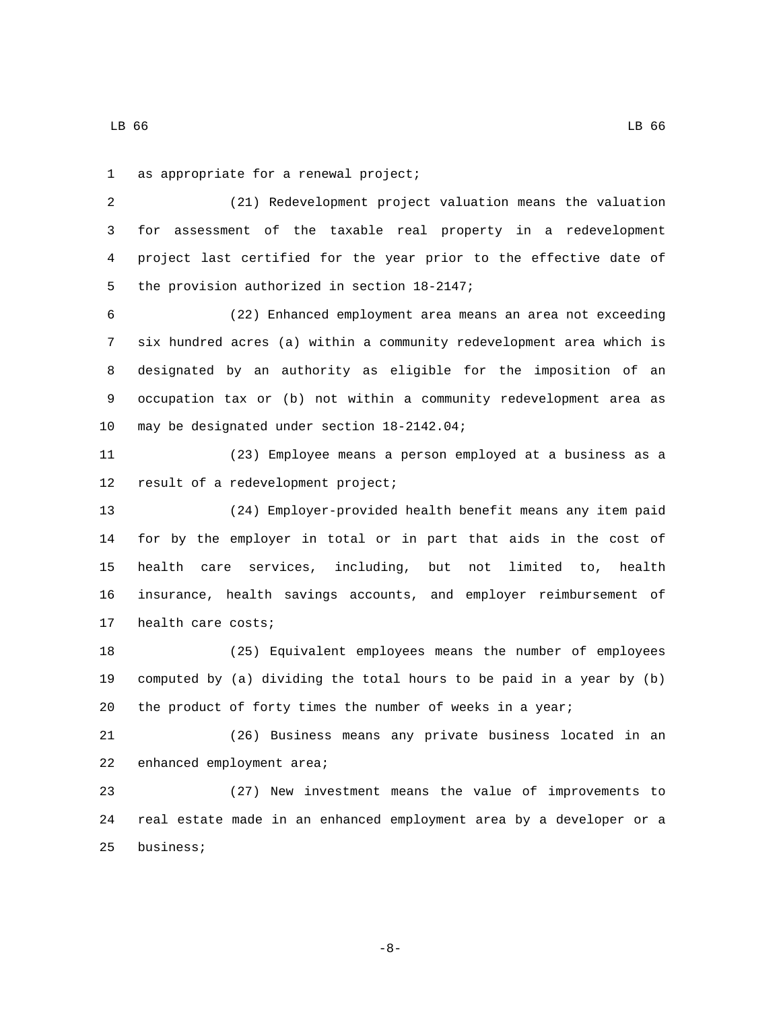1 as appropriate for a renewal project;

 (21) Redevelopment project valuation means the valuation for assessment of the taxable real property in a redevelopment project last certified for the year prior to the effective date of 5 the provision authorized in section 18-2147;

 (22) Enhanced employment area means an area not exceeding six hundred acres (a) within a community redevelopment area which is designated by an authority as eligible for the imposition of an occupation tax or (b) not within a community redevelopment area as 10 may be designated under section 18-2142.04;

 (23) Employee means a person employed at a business as a 12 result of a redevelopment project;

 (24) Employer-provided health benefit means any item paid for by the employer in total or in part that aids in the cost of health care services, including, but not limited to, health insurance, health savings accounts, and employer reimbursement of 17 health care costs;

 (25) Equivalent employees means the number of employees computed by (a) dividing the total hours to be paid in a year by (b) the product of forty times the number of weeks in a year;

 (26) Business means any private business located in an 22 enhanced employment area;

 (27) New investment means the value of improvements to real estate made in an enhanced employment area by a developer or a 25 business;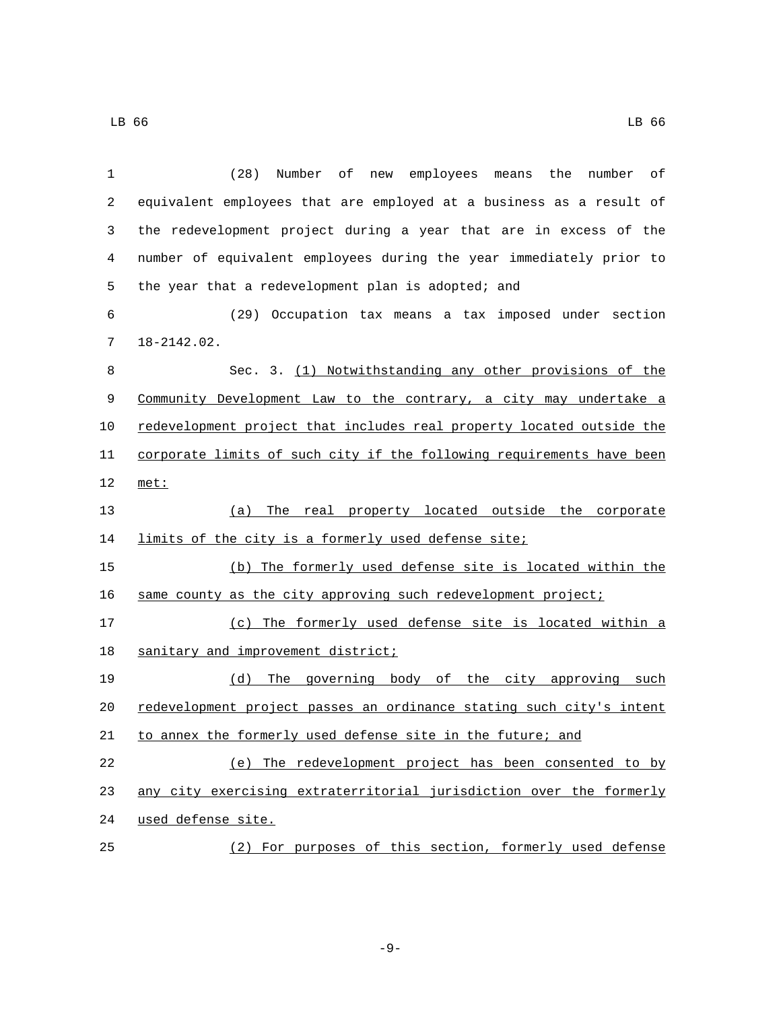| 1  | (28)<br>Number<br>of<br>employees means<br>the<br>number<br>оf<br>new |
|----|-----------------------------------------------------------------------|
| 2  | equivalent employees that are employed at a business as a result of   |
| 3  | the redevelopment project during a year that are in excess of the     |
| 4  | number of equivalent employees during the year immediately prior to   |
| 5  | the year that a redevelopment plan is adopted; and                    |
| 6  | (29) Occupation tax means a tax imposed under section                 |
| 7  | $18 - 2142.02$ .                                                      |
| 8  | Sec. 3. (1) Notwithstanding any other provisions of the               |
| 9  | Community Development Law to the contrary, a city may undertake a     |
| 10 | redevelopment project that includes real property located outside the |
| 11 | corporate limits of such city if the following requirements have been |
| 12 | met:                                                                  |
| 13 | (a) The real property located outside the corporate                   |
| 14 | limits of the city is a formerly used defense site;                   |
| 15 | (b) The formerly used defense site is located within the              |
| 16 | same county as the city approving such redevelopment project;         |
| 17 | (c) The formerly used defense site is located within a                |
| 18 | sanitary and improvement district;                                    |
| 19 | (d) The governing body of the city approving such                     |
| 20 | redevelopment project passes an ordinance stating such city's intent  |
| 21 | to annex the formerly used defense site in the future; and            |
| 22 | (e) The redevelopment project has been consented to by                |
| 23 | any city exercising extraterritorial jurisdiction over the formerly   |
| 24 | used defense site.                                                    |

(2) For purposes of this section, formerly used defense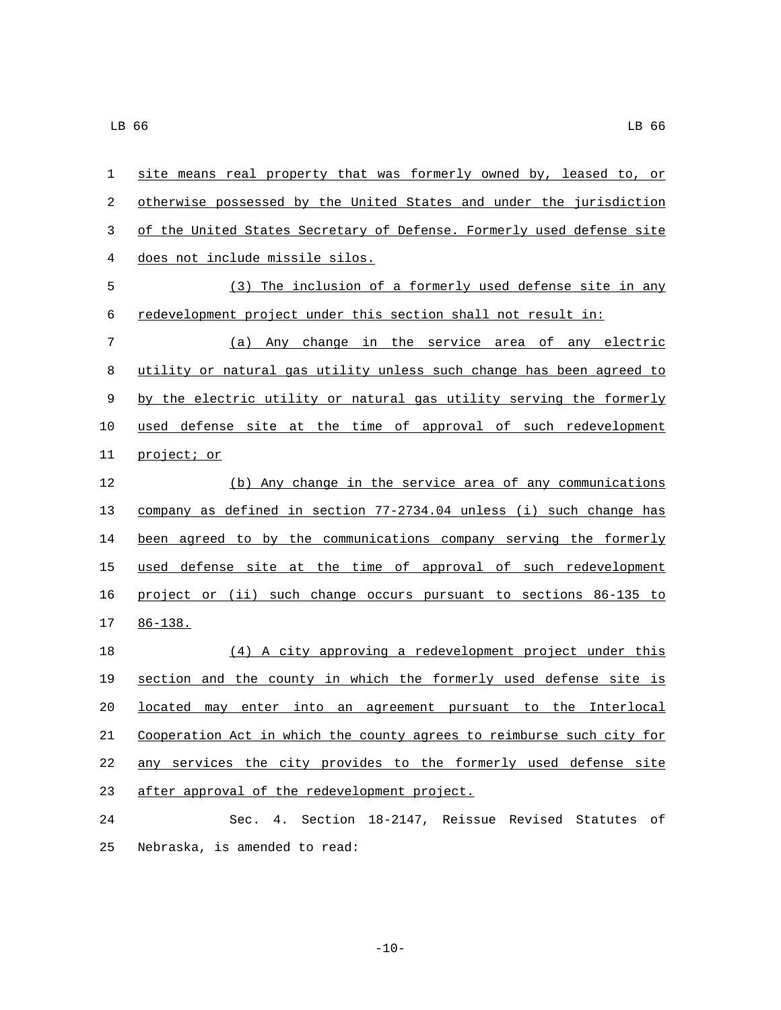| 1  | site means real property that was formerly owned by, leased to, or    |
|----|-----------------------------------------------------------------------|
| 2  | otherwise possessed by the United States and under the jurisdiction   |
| 3  | of the United States Secretary of Defense. Formerly used defense site |
| 4  | does not include missile silos.                                       |
| 5  | (3) The inclusion of a formerly used defense site in any              |
| 6  | redevelopment project under this section shall not result in:         |
| 7  | (a) Any change in the service area of any electric                    |
| 8  | utility or natural gas utility unless such change has been agreed to  |
| 9  | by the electric utility or natural gas utility serving the formerly   |
| 10 | used defense site at the time of approval of such redevelopment       |
| 11 | project; or                                                           |
| 12 | (b) Any change in the service area of any communications              |
| 13 | company as defined in section 77-2734.04 unless (i) such change has   |
| 14 | been agreed to by the communications company serving the formerly     |
| 15 | used defense site at the time of approval of such redevelopment       |
| 16 | project or (ii) such change occurs pursuant to sections 86-135 to     |
| 17 | $86 - 138$ .                                                          |
| 18 | (4) A city approving a redevelopment project under this               |
| 19 | section and the county in which the formerly used defense site is     |
| 20 | located<br>enter into an agreement pursuant to the Interlocal<br>may  |
| 21 | Cooperation Act in which the county agrees to reimburse such city for |
| 22 | any services the city provides to the formerly used defense site      |
| 23 | after approval of the redevelopment project.                          |
| 24 | Sec. 4. Section 18-2147, Reissue Revised Statutes of                  |
| 25 | Nebraska, is amended to read:                                         |

 $-10-$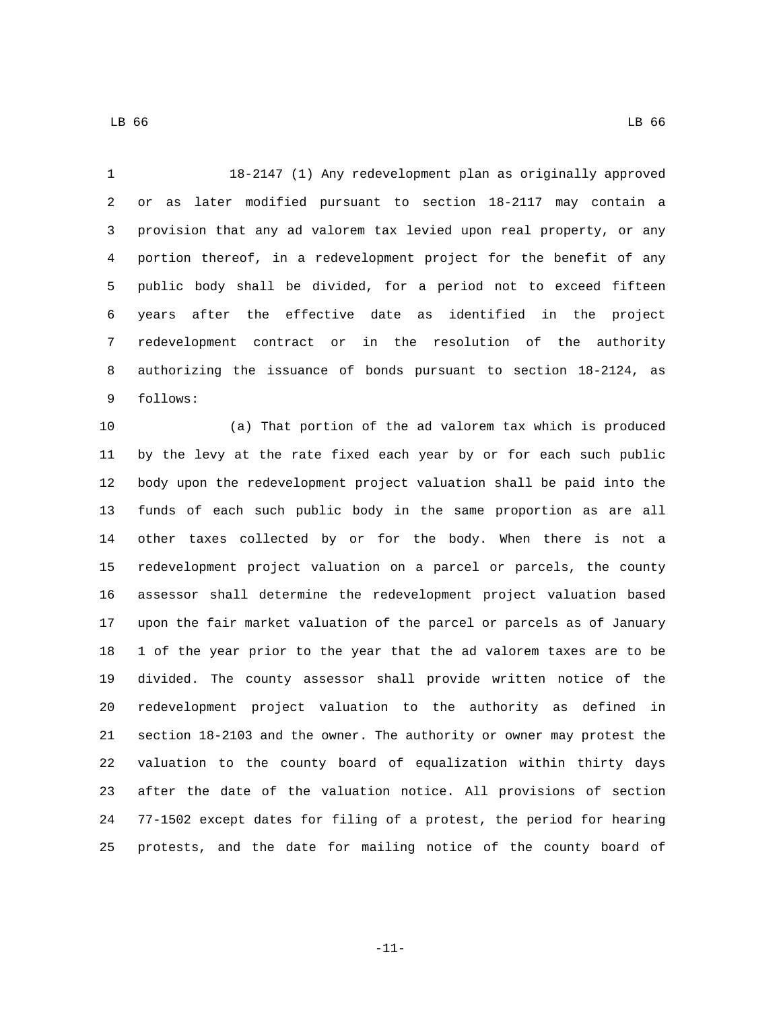18-2147 (1) Any redevelopment plan as originally approved or as later modified pursuant to section 18-2117 may contain a provision that any ad valorem tax levied upon real property, or any portion thereof, in a redevelopment project for the benefit of any public body shall be divided, for a period not to exceed fifteen years after the effective date as identified in the project redevelopment contract or in the resolution of the authority authorizing the issuance of bonds pursuant to section 18-2124, as 9 follows:

 (a) That portion of the ad valorem tax which is produced by the levy at the rate fixed each year by or for each such public body upon the redevelopment project valuation shall be paid into the funds of each such public body in the same proportion as are all other taxes collected by or for the body. When there is not a redevelopment project valuation on a parcel or parcels, the county assessor shall determine the redevelopment project valuation based upon the fair market valuation of the parcel or parcels as of January 1 of the year prior to the year that the ad valorem taxes are to be divided. The county assessor shall provide written notice of the redevelopment project valuation to the authority as defined in section 18-2103 and the owner. The authority or owner may protest the valuation to the county board of equalization within thirty days after the date of the valuation notice. All provisions of section 77-1502 except dates for filing of a protest, the period for hearing protests, and the date for mailing notice of the county board of

-11-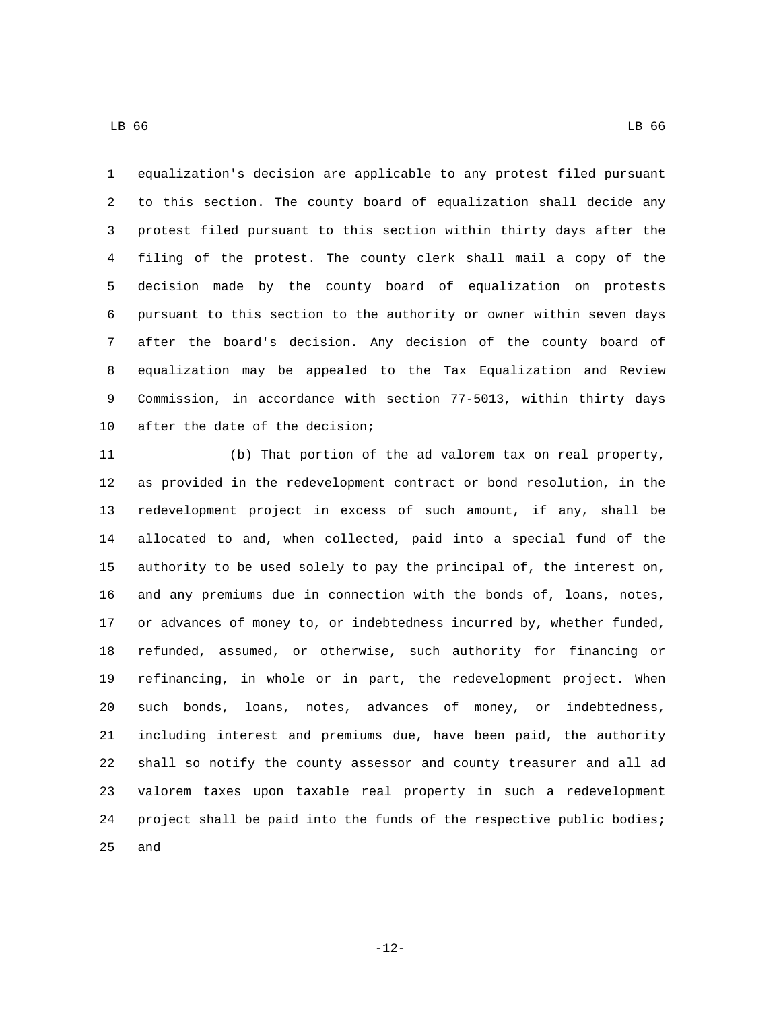equalization's decision are applicable to any protest filed pursuant to this section. The county board of equalization shall decide any protest filed pursuant to this section within thirty days after the filing of the protest. The county clerk shall mail a copy of the decision made by the county board of equalization on protests pursuant to this section to the authority or owner within seven days after the board's decision. Any decision of the county board of equalization may be appealed to the Tax Equalization and Review Commission, in accordance with section 77-5013, within thirty days 10 after the date of the decision;

 (b) That portion of the ad valorem tax on real property, as provided in the redevelopment contract or bond resolution, in the redevelopment project in excess of such amount, if any, shall be allocated to and, when collected, paid into a special fund of the authority to be used solely to pay the principal of, the interest on, and any premiums due in connection with the bonds of, loans, notes, or advances of money to, or indebtedness incurred by, whether funded, refunded, assumed, or otherwise, such authority for financing or refinancing, in whole or in part, the redevelopment project. When such bonds, loans, notes, advances of money, or indebtedness, including interest and premiums due, have been paid, the authority shall so notify the county assessor and county treasurer and all ad valorem taxes upon taxable real property in such a redevelopment project shall be paid into the funds of the respective public bodies; and

-12-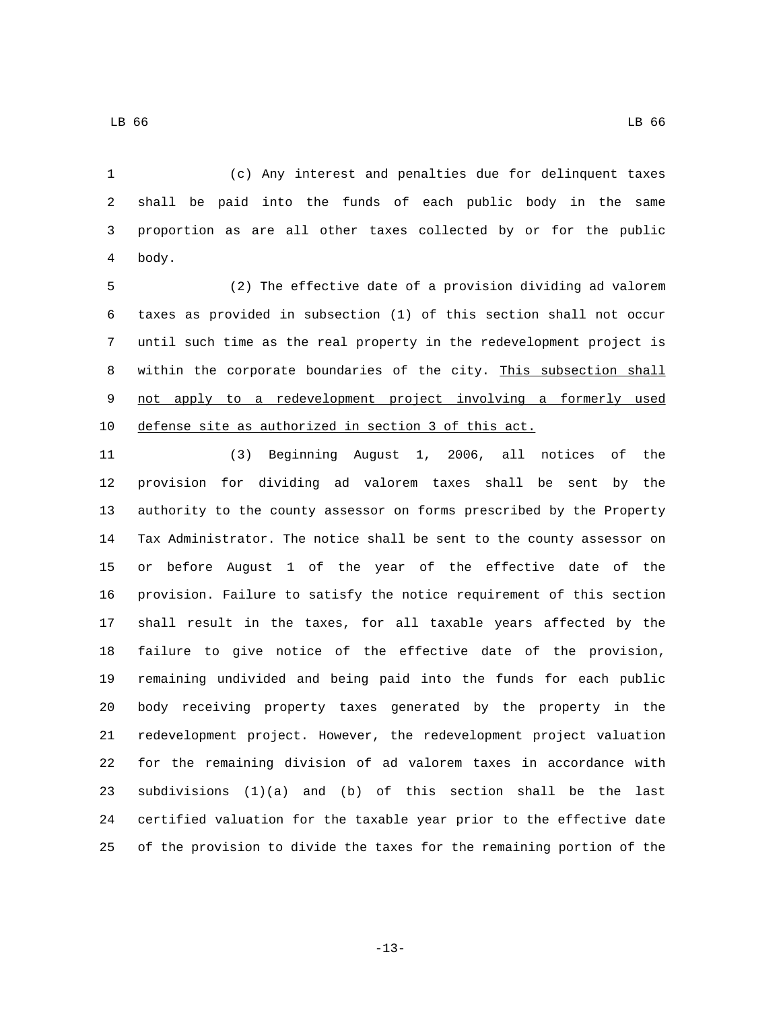LB 66 LB 66 LB 66 LB 66 LB 66 LB 66 LB 66 LB 66 LB 66 LB 66 LB 66 LB 66 LB 66 LB 66 LB 66

 (c) Any interest and penalties due for delinquent taxes shall be paid into the funds of each public body in the same proportion as are all other taxes collected by or for the public 4 body.

 (2) The effective date of a provision dividing ad valorem taxes as provided in subsection (1) of this section shall not occur until such time as the real property in the redevelopment project is within the corporate boundaries of the city. This subsection shall not apply to a redevelopment project involving a formerly used defense site as authorized in section 3 of this act.

 (3) Beginning August 1, 2006, all notices of the provision for dividing ad valorem taxes shall be sent by the authority to the county assessor on forms prescribed by the Property Tax Administrator. The notice shall be sent to the county assessor on or before August 1 of the year of the effective date of the provision. Failure to satisfy the notice requirement of this section shall result in the taxes, for all taxable years affected by the failure to give notice of the effective date of the provision, remaining undivided and being paid into the funds for each public body receiving property taxes generated by the property in the redevelopment project. However, the redevelopment project valuation for the remaining division of ad valorem taxes in accordance with subdivisions (1)(a) and (b) of this section shall be the last certified valuation for the taxable year prior to the effective date of the provision to divide the taxes for the remaining portion of the